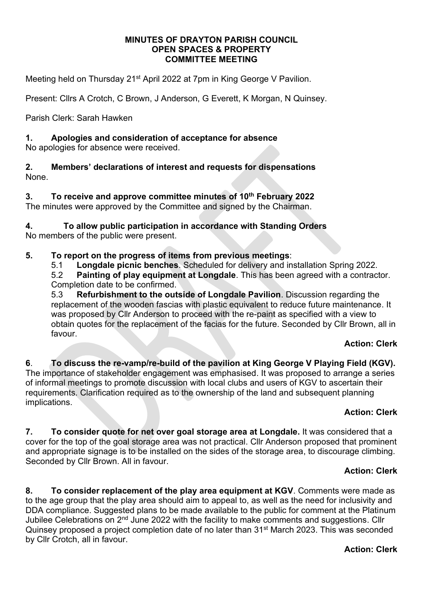#### **MINUTES OF DRAYTON PARISH COUNCIL OPEN SPACES & PROPERTY COMMITTEE MEETING**

Meeting held on Thursday 21<sup>st</sup> April 2022 at 7pm in King George V Pavilion.

Present: Cllrs A Crotch, C Brown, J Anderson, G Everett, K Morgan, N Quinsey.

Parish Clerk: Sarah Hawken

## **1. Apologies and consideration of acceptance for absence**

No apologies for absence were received.

**2. Members' declarations of interest and requests for dispensations** None.

**3. To receive and approve committee minutes of 10th February 2022** The minutes were approved by the Committee and signed by the Chairman.

**4. To allow public participation in accordance with Standing Orders**  No members of the public were present.

## **5. To report on the progress of items from previous meetings**:

5.1 **Longdale picnic benches**. Scheduled for delivery and installation Spring 2022.

5.2 **Painting of play equipment at Longdale**. This has been agreed with a contractor. Completion date to be confirmed.

5.3 **Refurbishment to the outside of Longdale Pavilion**. Discussion regarding the replacement of the wooden fascias with plastic equivalent to reduce future maintenance. It was proposed by Cllr Anderson to proceed with the re-paint as specified with a view to obtain quotes for the replacement of the facias for the future. Seconded by Cllr Brown, all in favour.

## **Action: Clerk**

**6**. **To discuss the re-vamp/re-build of the pavilion at King George V Playing Field (KGV).** The importance of stakeholder engagement was emphasised. It was proposed to arrange a series of informal meetings to promote discussion with local clubs and users of KGV to ascertain their requirements. Clarification required as to the ownership of the land and subsequent planning implications.

## **Action: Clerk**

**7. To consider quote for net over goal storage area at Longdale.** It was considered that a cover for the top of the goal storage area was not practical. Cllr Anderson proposed that prominent and appropriate signage is to be installed on the sides of the storage area, to discourage climbing. Seconded by Cllr Brown. All in favour.

## **Action: Clerk**

**8. To consider replacement of the play area equipment at KGV**. Comments were made as to the age group that the play area should aim to appeal to, as well as the need for inclusivity and DDA compliance. Suggested plans to be made available to the public for comment at the Platinum Jubilee Celebrations on 2<sup>nd</sup> June 2022 with the facility to make comments and suggestions. Cllr Quinsey proposed a project completion date of no later than 31<sup>st</sup> March 2023. This was seconded by Cllr Crotch, all in favour.

#### **Action: Clerk**